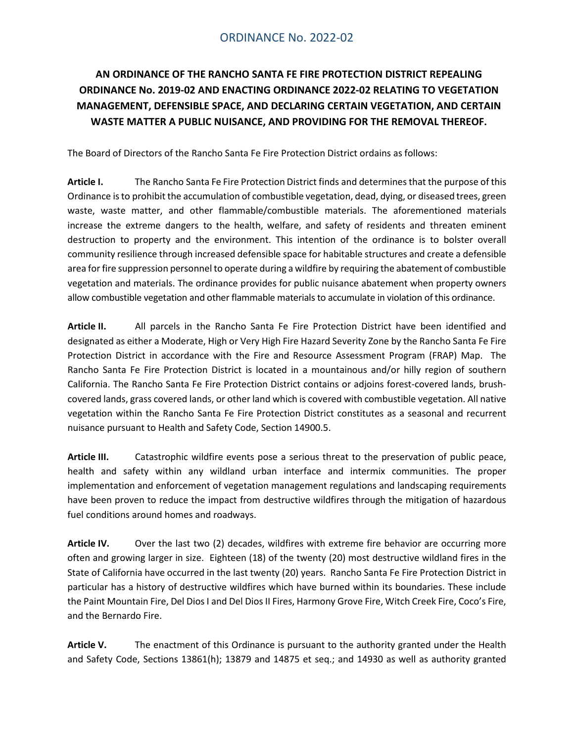# ORDINANCE No. 2022-02

# **AN ORDINANCE OF THE RANCHO SANTA FE FIRE PROTECTION DISTRICT REPEALING ORDINANCE No. 2019-02 AND ENACTING ORDINANCE 2022-02 RELATING TO VEGETATION MANAGEMENT, DEFENSIBLE SPACE, AND DECLARING CERTAIN VEGETATION, AND CERTAIN WASTE MATTER A PUBLIC NUISANCE, AND PROVIDING FOR THE REMOVAL THEREOF.**

The Board of Directors of the Rancho Santa Fe Fire Protection District ordains as follows:

**Article I.** The Rancho Santa Fe Fire Protection District finds and determinesthat the purpose of this Ordinance isto prohibit the accumulation of combustible vegetation, dead, dying, or diseased trees, green waste, waste matter, and other flammable/combustible materials. The aforementioned materials increase the extreme dangers to the health, welfare, and safety of residents and threaten eminent destruction to property and the environment. This intention of the ordinance is to bolster overall community resilience through increased defensible space for habitable structures and create a defensible area forfire suppression personnel to operate during a wildfire by requiring the abatement of combustible vegetation and materials. The ordinance provides for public nuisance abatement when property owners allow combustible vegetation and other flammable materials to accumulate in violation of this ordinance.

**Article II.** All parcels in the Rancho Santa Fe Fire Protection District have been identified and designated as either a Moderate, High or Very High Fire Hazard Severity Zone by the Rancho Santa Fe Fire Protection District in accordance with the Fire and Resource Assessment Program (FRAP) Map. The Rancho Santa Fe Fire Protection District is located in a mountainous and/or hilly region of southern California. The Rancho Santa Fe Fire Protection District contains or adjoins forest-covered lands, brushcovered lands, grass covered lands, or other land which is covered with combustible vegetation. All native vegetation within the Rancho Santa Fe Fire Protection District constitutes as a seasonal and recurrent nuisance pursuant to Health and Safety Code, Section 14900.5.

**Article III.** Catastrophic wildfire events pose a serious threat to the preservation of public peace, health and safety within any wildland urban interface and intermix communities. The proper implementation and enforcement of vegetation management regulations and landscaping requirements have been proven to reduce the impact from destructive wildfires through the mitigation of hazardous fuel conditions around homes and roadways.

**Article IV.** Over the last two (2) decades, wildfires with extreme fire behavior are occurring more often and growing larger in size. Eighteen (18) of the twenty (20) most destructive wildland fires in the State of California have occurred in the last twenty (20) years. Rancho Santa Fe Fire Protection District in particular has a history of destructive wildfires which have burned within its boundaries. These include the Paint Mountain Fire, Del Dios I and Del Dios II Fires, Harmony Grove Fire, Witch Creek Fire, Coco's Fire, and the Bernardo Fire.

**Article V.** The enactment of this Ordinance is pursuant to the authority granted under the Health and Safety Code, Sections 13861(h); 13879 and 14875 et seq.; and 14930 as well as authority granted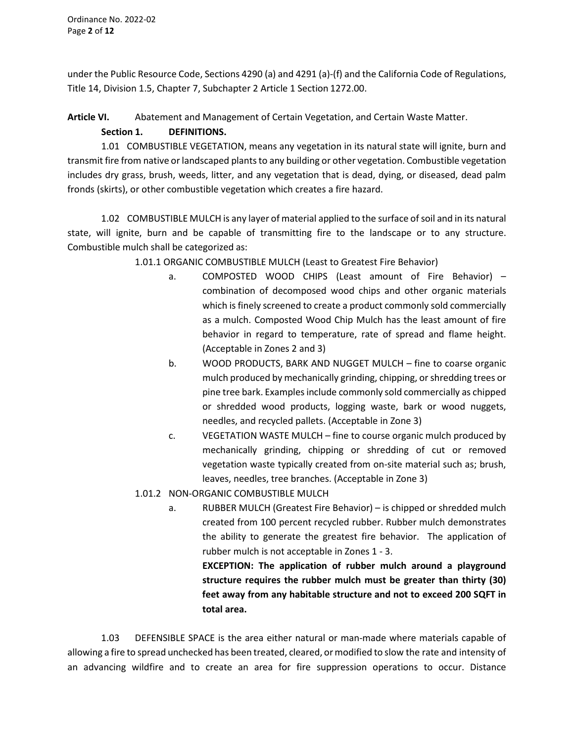under the Public Resource Code, Sections 4290 (a) and 4291 (a)-(f) and the California Code of Regulations, Title 14, Division 1.5, Chapter 7, Subchapter 2 Article 1 Section 1272.00.

# **Article VI.** Abatement and Management of Certain Vegetation, and Certain Waste Matter. **Section 1. DEFINITIONS.**

1.01 COMBUSTIBLE VEGETATION, means any vegetation in its natural state will ignite, burn and transmit fire from native or landscaped plants to any building or other vegetation. Combustible vegetation includes dry grass, brush, weeds, litter, and any vegetation that is dead, dying, or diseased, dead palm fronds (skirts), or other combustible vegetation which creates a fire hazard.

1.02 COMBUSTIBLE MULCH is any layer of material applied to the surface ofsoil and in its natural state, will ignite, burn and be capable of transmitting fire to the landscape or to any structure. Combustible mulch shall be categorized as:

1.01.1 ORGANIC COMBUSTIBLE MULCH (Least to Greatest Fire Behavior)

- a. COMPOSTED WOOD CHIPS (Least amount of Fire Behavior) combination of decomposed wood chips and other organic materials which is finely screened to create a product commonly sold commercially as a mulch. Composted Wood Chip Mulch has the least amount of fire behavior in regard to temperature, rate of spread and flame height. (Acceptable in Zones 2 and 3)
- b. WOOD PRODUCTS, BARK AND NUGGET MULCH fine to coarse organic mulch produced by mechanically grinding, chipping, or shredding trees or pine tree bark. Examples include commonly sold commercially as chipped or shredded wood products, logging waste, bark or wood nuggets, needles, and recycled pallets. (Acceptable in Zone 3)
- c. VEGETATION WASTE MULCH fine to course organic mulch produced by mechanically grinding, chipping or shredding of cut or removed vegetation waste typically created from on-site material such as; brush, leaves, needles, tree branches. (Acceptable in Zone 3)
- 1.01.2 NON-ORGANIC COMBUSTIBLE MULCH
	- a. RUBBER MULCH (Greatest Fire Behavior) is chipped or shredded mulch created from 100 percent recycled rubber. Rubber mulch demonstrates the ability to generate the greatest fire behavior. The application of rubber mulch is not acceptable in Zones 1 - 3.

**EXCEPTION: The application of rubber mulch around a playground structure requires the rubber mulch must be greater than thirty (30) feet away from any habitable structure and not to exceed 200 SQFT in total area.**

1.03 DEFENSIBLE SPACE is the area either natural or man-made where materials capable of allowing a fire to spread unchecked has been treated, cleared, ormodified to slow the rate and intensity of an advancing wildfire and to create an area for fire suppression operations to occur. Distance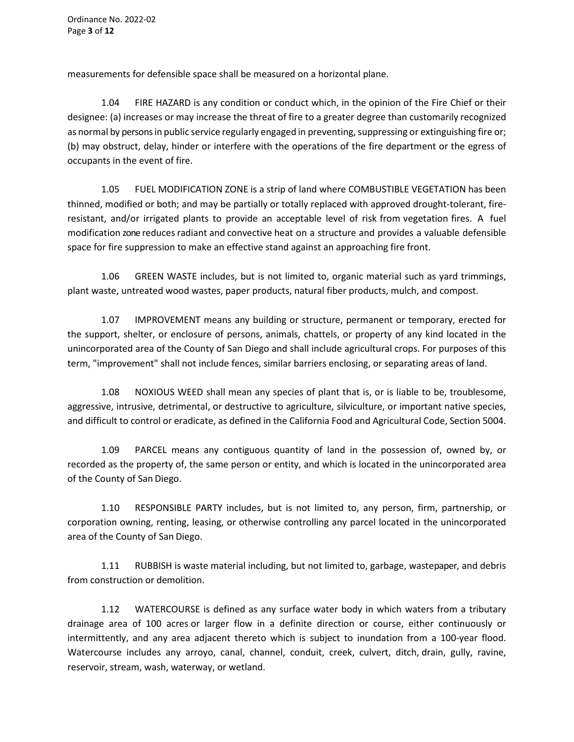measurements for defensible space shall be measured on a horizontal plane.

1.04 FIRE HAZARD is any condition or conduct which, in the opinion of the Fire Chief or their designee: (a) increases or may increase the threat of fire to a greater degree than customarily recognized as normal by persons in public service regularly engaged in preventing, suppressing or extinguishing fire or; (b) may obstruct, delay, hinder or interfere with the operations of the fire department or the egress of occupants in the event of fire.

1.05 FUEL MODIFICATION ZONE is a strip of land where COMBUSTIBLE VEGETATION has been thinned, modified or both; and may be partially or totally replaced with approved drought-tolerant, fireresistant, and/or irrigated plants to provide an acceptable level of risk from vegetation fires. A fuel modification zone reducesradiant and convective heat on a structure and provides a valuable defensible space for fire suppression to make an effective stand against an approaching fire front.

1.06 GREEN WASTE includes, but is not limited to, organic material such as yard trimmings, plant waste, untreated wood wastes, paper products, natural fiber products, mulch, and compost.

1.07 IMPROVEMENT means any building or structure, permanent or temporary, erected for the support, shelter, or enclosure of persons, animals, chattels, or property of any kind located in the unincorporated area of the County of San Diego and shall include agricultural crops. For purposes of this term, "improvement" shall not include fences, similar barriers enclosing, or separating areas of land.

1.08 NOXIOUS WEED shall mean any species of plant that is, or is liable to be, troublesome, aggressive, intrusive, detrimental, or destructive to agriculture, silviculture, or important native species, and difficult to control or eradicate, as defined in the California Food and Agricultural Code, Section 5004.

1.09 PARCEL means any contiguous quantity of land in the possession of, owned by, or recorded as the property of, the same person or entity, and which is located in the unincorporated area of the County of San Diego.

1.10 RESPONSIBLE PARTY includes, but is not limited to, any person, firm, partnership, or corporation owning, renting, leasing, or otherwise controlling any parcel located in the unincorporated area of the County of San Diego.

1.11 RUBBISH is waste material including, but not limited to, garbage, wastepaper, and debris from construction or demolition.

1.12 WATERCOURSE is defined as any surface water body in which waters from a tributary drainage area of 100 acres or larger flow in a definite direction or course, either continuously or intermittently, and any area adjacent thereto which is subject to inundation from a 100-year flood. Watercourse includes any arroyo, canal, channel, conduit, creek, culvert, ditch, drain, gully, ravine, reservoir, stream, wash, waterway, or wetland.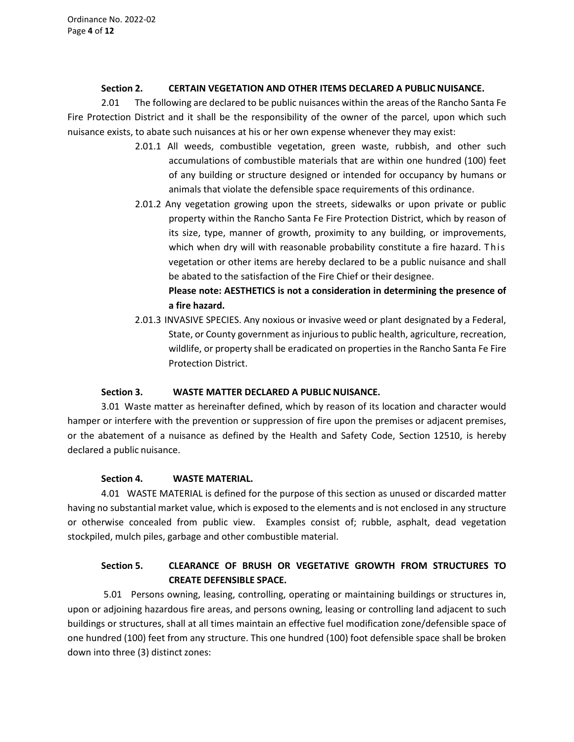#### **Section 2. CERTAIN VEGETATION AND OTHER ITEMS DECLARED A PUBLIC NUISANCE.**

2.01 The following are declared to be public nuisances within the areas of the Rancho Santa Fe Fire Protection District and it shall be the responsibility of the owner of the parcel, upon which such nuisance exists, to abate such nuisances at his or her own expense whenever they may exist:

- 2.01.1 All weeds, combustible vegetation, green waste, rubbish, and other such accumulations of combustible materials that are within one hundred (100) feet of any building or structure designed or intended for occupancy by humans or animals that violate the defensible space requirements of this ordinance.
- 2.01.2 Any vegetation growing upon the streets, sidewalks or upon private or public property within the Rancho Santa Fe Fire Protection District, which by reason of its size, type, manner of growth, proximity to any building, or improvements, which when dry will with reasonable probability constitute a fire hazard. This vegetation or other items are hereby declared to be a public nuisance and shall be abated to the satisfaction of the Fire Chief or their designee.

# **Please note: AESTHETICS is not a consideration in determining the presence of a fire hazard.**

2.01.3 INVASIVE SPECIES. Any noxious or invasive weed or plant designated by a Federal, State, or County government as injurious to public health, agriculture, recreation, wildlife, or property shall be eradicated on properties in the Rancho Santa Fe Fire Protection District.

# **Section 3. WASTE MATTER DECLARED A PUBLIC NUISANCE.**

3.01 Waste matter as hereinafter defined, which by reason of its location and character would hamper or interfere with the prevention or suppression of fire upon the premises or adjacent premises, or the abatement of a nuisance as defined by the Health and Safety Code, Section 12510, is hereby declared a public nuisance.

# **Section 4. WASTE MATERIAL.**

4.01 WASTE MATERIAL is defined for the purpose of this section as unused or discarded matter having no substantial market value, which is exposed to the elements and is not enclosed in any structure or otherwise concealed from public view. Examples consist of; rubble, asphalt, dead vegetation stockpiled, mulch piles, garbage and other combustible material.

# **Section 5. CLEARANCE OF BRUSH OR VEGETATIVE GROWTH FROM STRUCTURES TO CREATE DEFENSIBLE SPACE.**

5.01 Persons owning, leasing, controlling, operating or maintaining buildings or structures in, upon or adjoining hazardous fire areas, and persons owning, leasing or controlling land adjacent to such buildings or structures, shall at all times maintain an effective fuel modification zone/defensible space of one hundred (100) feet from any structure. This one hundred (100) foot defensible space shall be broken down into three (3) distinct zones: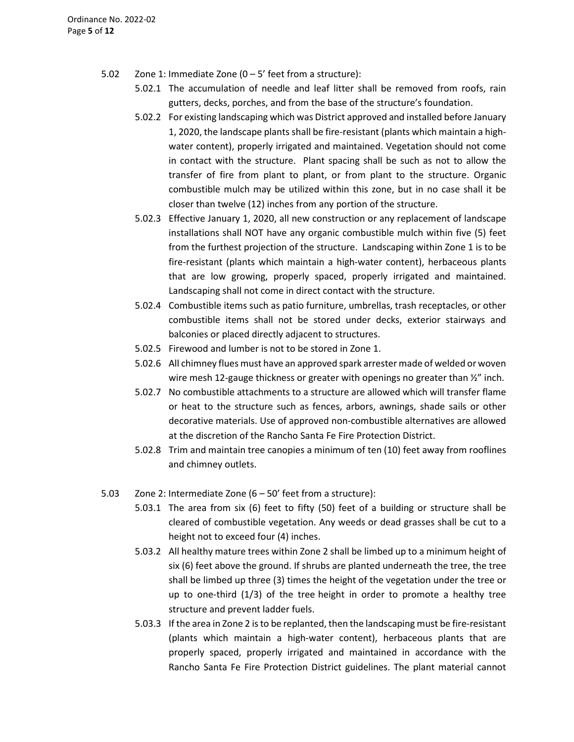- 5.02 Zone 1: Immediate Zone  $(0 5)$  feet from a structure):
	- 5.02.1 The accumulation of needle and leaf litter shall be removed from roofs, rain gutters, decks, porches, and from the base of the structure's foundation.
	- 5.02.2 For existing landscaping which was District approved and installed before January 1, 2020, the landscape plants shall be fire-resistant (plants which maintain a highwater content), properly irrigated and maintained. Vegetation should not come in contact with the structure. Plant spacing shall be such as not to allow the transfer of fire from plant to plant, or from plant to the structure. Organic combustible mulch may be utilized within this zone, but in no case shall it be closer than twelve (12) inches from any portion of the structure.
	- 5.02.3 Effective January 1, 2020, all new construction or any replacement of landscape installations shall NOT have any organic combustible mulch within five (5) feet from the furthest projection of the structure. Landscaping within Zone 1 is to be fire-resistant (plants which maintain a high-water content), herbaceous plants that are low growing, properly spaced, properly irrigated and maintained. Landscaping shall not come in direct contact with the structure.
	- 5.02.4 Combustible items such as patio furniture, umbrellas, trash receptacles, or other combustible items shall not be stored under decks, exterior stairways and balconies or placed directly adjacent to structures.
	- 5.02.5 Firewood and lumber is not to be stored in Zone 1.
	- 5.02.6 All chimney flues must have an approved spark arrester made of welded or woven wire mesh 12-gauge thickness or greater with openings no greater than  $\frac{1}{2}$ " inch.
	- 5.02.7 No combustible attachments to a structure are allowed which will transfer flame or heat to the structure such as fences, arbors, awnings, shade sails or other decorative materials. Use of approved non-combustible alternatives are allowed at the discretion of the Rancho Santa Fe Fire Protection District.
	- 5.02.8 Trim and maintain tree canopies a minimum of ten (10) feet away from rooflines and chimney outlets.
- 5.03 Zone 2: Intermediate Zone (6 50' feet from a structure):
	- 5.03.1 The area from six (6) feet to fifty (50) feet of a building or structure shall be cleared of combustible vegetation. Any weeds or dead grasses shall be cut to a height not to exceed four (4) inches.
	- 5.03.2 All healthy mature trees within Zone 2 shall be limbed up to a minimum height of six (6) feet above the ground. If shrubs are planted underneath the tree, the tree shall be limbed up three (3) times the height of the vegetation under the tree or up to one-third (1/3) of the tree height in order to promote a healthy tree structure and prevent ladder fuels.
	- 5.03.3 If the area in Zone 2 is to be replanted, then the landscaping must be fire-resistant (plants which maintain a high-water content), herbaceous plants that are properly spaced, properly irrigated and maintained in accordance with the Rancho Santa Fe Fire Protection District guidelines. The plant material cannot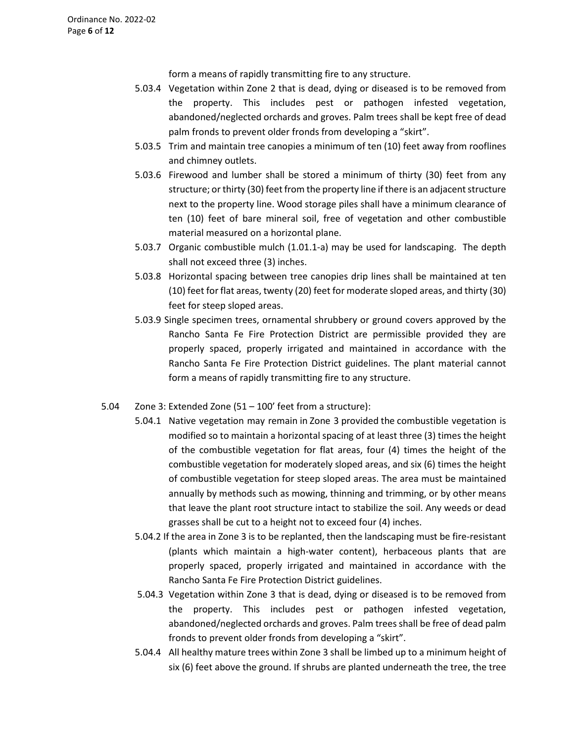form a means of rapidly transmitting fire to any structure.

- 5.03.4 Vegetation within Zone 2 that is dead, dying or diseased is to be removed from the property. This includes pest or pathogen infested vegetation, abandoned/neglected orchards and groves. Palm trees shall be kept free of dead palm fronds to prevent older fronds from developing a "skirt".
- 5.03.5 Trim and maintain tree canopies a minimum of ten (10) feet away from rooflines and chimney outlets.
- 5.03.6 Firewood and lumber shall be stored a minimum of thirty (30) feet from any structure; or thirty (30) feet from the property line if there is an adjacent structure next to the property line. Wood storage piles shall have a minimum clearance of ten (10) feet of bare mineral soil, free of vegetation and other combustible material measured on a horizontal plane.
- 5.03.7 Organic combustible mulch (1.01.1-a) may be used for landscaping. The depth shall not exceed three (3) inches.
- 5.03.8 Horizontal spacing between tree canopies drip lines shall be maintained at ten (10) feet for flat areas, twenty (20) feet for moderate sloped areas, and thirty (30) feet for steep sloped areas.
- 5.03.9 Single specimen trees, ornamental shrubbery or ground covers approved by the Rancho Santa Fe Fire Protection District are permissible provided they are properly spaced, properly irrigated and maintained in accordance with the Rancho Santa Fe Fire Protection District guidelines. The plant material cannot form a means of rapidly transmitting fire to any structure.
- 5.04 Zone 3: Extended Zone (51 100' feet from a structure):
	- 5.04.1 Native vegetation may remain in Zone 3 provided the combustible vegetation is modified so to maintain a horizontal spacing of at least three (3) times the height of the combustible vegetation for flat areas, four (4) times the height of the combustible vegetation for moderately sloped areas, and six (6) times the height of combustible vegetation for steep sloped areas. The area must be maintained annually by methods such as mowing, thinning and trimming, or by other means that leave the plant root structure intact to stabilize the soil. Any weeds or dead grasses shall be cut to a height not to exceed four (4) inches.
	- 5.04.2 If the area in Zone 3 is to be replanted, then the landscaping must be fire-resistant (plants which maintain a high-water content), herbaceous plants that are properly spaced, properly irrigated and maintained in accordance with the Rancho Santa Fe Fire Protection District guidelines.
	- 5.04.3 Vegetation within Zone 3 that is dead, dying or diseased is to be removed from the property. This includes pest or pathogen infested vegetation, abandoned/neglected orchards and groves. Palm trees shall be free of dead palm fronds to prevent older fronds from developing a "skirt".
	- 5.04.4 All healthy mature trees within Zone 3 shall be limbed up to a minimum height of six (6) feet above the ground. If shrubs are planted underneath the tree, the tree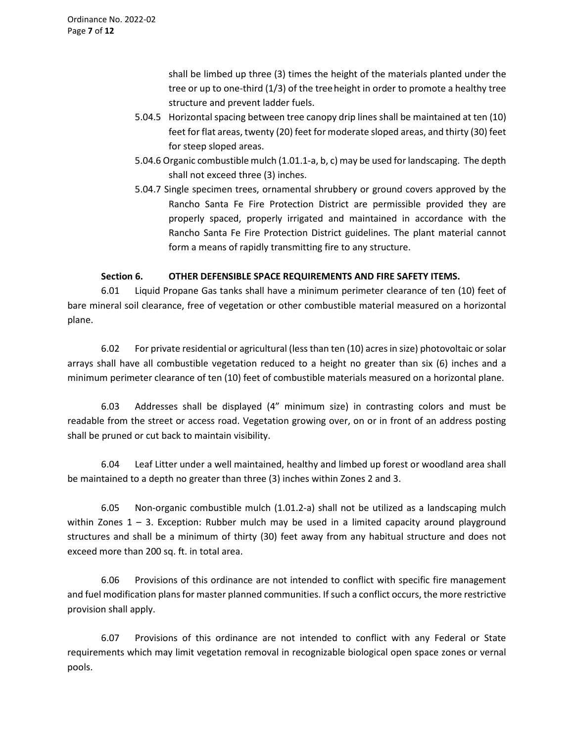shall be limbed up three (3) times the height of the materials planted under the tree or up to one-third (1/3) of the treeheight in order to promote a healthy tree structure and prevent ladder fuels.

- 5.04.5 Horizontal spacing between tree canopy drip lines shall be maintained at ten (10) feet for flat areas, twenty (20) feet for moderate sloped areas, and thirty (30) feet for steep sloped areas.
- 5.04.6 Organic combustible mulch (1.01.1-a, b, c) may be used for landscaping. The depth shall not exceed three (3) inches.
- 5.04.7 Single specimen trees, ornamental shrubbery or ground covers approved by the Rancho Santa Fe Fire Protection District are permissible provided they are properly spaced, properly irrigated and maintained in accordance with the Rancho Santa Fe Fire Protection District guidelines. The plant material cannot form a means of rapidly transmitting fire to any structure.

# **Section 6. OTHER DEFENSIBLE SPACE REQUIREMENTS AND FIRE SAFETY ITEMS.**

6.01 Liquid Propane Gas tanks shall have a minimum perimeter clearance of ten (10) feet of bare mineral soil clearance, free of vegetation or other combustible material measured on a horizontal plane.

6.02 For private residential or agricultural (less than ten (10) acres in size) photovoltaic or solar arrays shall have all combustible vegetation reduced to a height no greater than six (6) inches and a minimum perimeter clearance of ten (10) feet of combustible materials measured on a horizontal plane.

6.03 Addresses shall be displayed (4" minimum size) in contrasting colors and must be readable from the street or access road. Vegetation growing over, on or in front of an address posting shall be pruned or cut back to maintain visibility.

6.04 Leaf Litter under a well maintained, healthy and limbed up forest or woodland area shall be maintained to a depth no greater than three (3) inches within Zones 2 and 3.

6.05 Non-organic combustible mulch (1.01.2-a) shall not be utilized as a landscaping mulch within Zones  $1 - 3$ . Exception: Rubber mulch may be used in a limited capacity around playground structures and shall be a minimum of thirty (30) feet away from any habitual structure and does not exceed more than 200 sq. ft. in total area.

6.06 Provisions of this ordinance are not intended to conflict with specific fire management and fuel modification plans for master planned communities. If such a conflict occurs, the more restrictive provision shall apply.

6.07 Provisions of this ordinance are not intended to conflict with any Federal or State requirements which may limit vegetation removal in recognizable biological open space zones or vernal pools.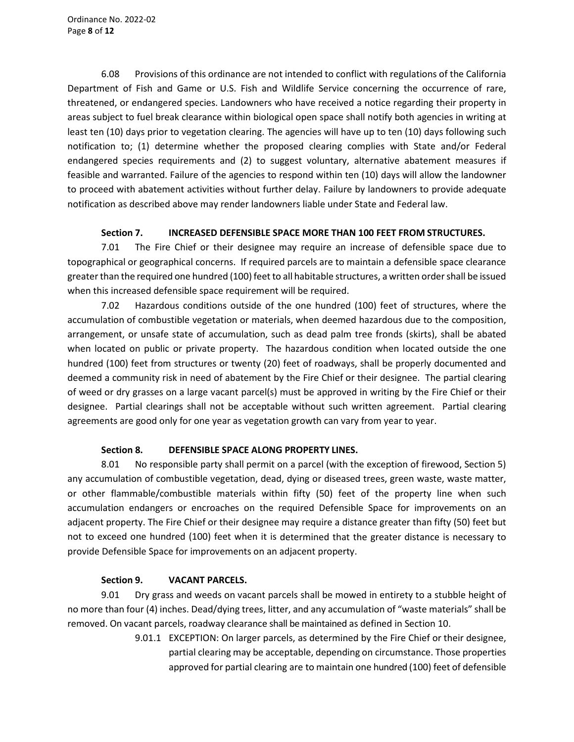6.08 Provisions of this ordinance are not intended to conflict with regulations of the California Department of Fish and Game or U.S. Fish and Wildlife Service concerning the occurrence of rare, threatened, or endangered species. Landowners who have received a notice regarding their property in areas subject to fuel break clearance within biological open space shall notify both agencies in writing at least ten (10) days prior to vegetation clearing. The agencies will have up to ten (10) days following such notification to; (1) determine whether the proposed clearing complies with State and/or Federal endangered species requirements and (2) to suggest voluntary, alternative abatement measures if feasible and warranted. Failure of the agencies to respond within ten (10) days will allow the landowner to proceed with abatement activities without further delay. Failure by landowners to provide adequate notification as described above may render landowners liable under State and Federal law.

### **Section 7. INCREASED DEFENSIBLE SPACE MORE THAN 100 FEET FROM STRUCTURES.**

7.01 The Fire Chief or their designee may require an increase of defensible space due to topographical or geographical concerns. If required parcels are to maintain a defensible space clearance greater than the required one hundred (100) feet to all habitable structures, a written order shall be issued when this increased defensible space requirement will be required.

7.02 Hazardous conditions outside of the one hundred (100) feet of structures, where the accumulation of combustible vegetation or materials, when deemed hazardous due to the composition, arrangement, or unsafe state of accumulation, such as dead palm tree fronds (skirts), shall be abated when located on public or private property. The hazardous condition when located outside the one hundred (100) feet from structures or twenty (20) feet of roadways, shall be properly documented and deemed a community risk in need of abatement by the Fire Chief or their designee. The partial clearing of weed or dry grasses on a large vacant parcel(s) must be approved in writing by the Fire Chief or their designee. Partial clearings shall not be acceptable without such written agreement. Partial clearing agreements are good only for one year as vegetation growth can vary from year to year.

#### **Section 8. DEFENSIBLE SPACE ALONG PROPERTY LINES.**

8.01 No responsible party shall permit on a parcel (with the exception of firewood, Section 5) any accumulation of combustible vegetation, dead, dying or diseased trees, green waste, waste matter, or other flammable/combustible materials within fifty (50) feet of the property line when such accumulation endangers or encroaches on the required Defensible Space for improvements on an adjacent property. The Fire Chief or their designee may require a distance greater than fifty (50) feet but not to exceed one hundred (100) feet when it is determined that the greater distance is necessary to provide Defensible Space for improvements on an adjacent property.

#### **Section 9. VACANT PARCELS.**

9.01 Dry grass and weeds on vacant parcels shall be mowed in entirety to a stubble height of no more than four (4) inches. Dead/dying trees, litter, and any accumulation of "waste materials" shall be removed. On vacant parcels, roadway clearance shall be maintained as defined in Section 10.

> 9.01.1 EXCEPTION: On larger parcels, as determined by the Fire Chief or their designee, partial clearing may be acceptable, depending on circumstance. Those properties approved for partial clearing are to maintain one hundred (100) feet of defensible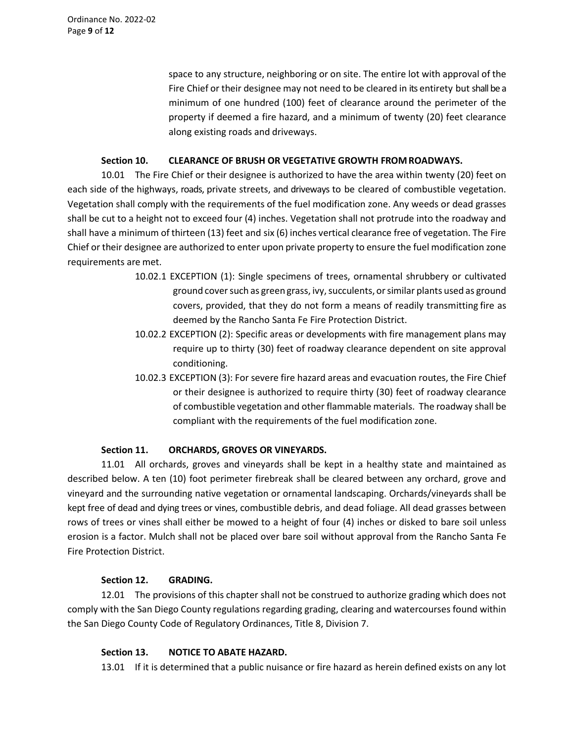Ordinance No. 2022-02 Page **9** of **12**

> space to any structure, neighboring or on site. The entire lot with approval of the Fire Chief or their designee may not need to be cleared in its entirety but shall be a minimum of one hundred (100) feet of clearance around the perimeter of the property if deemed a fire hazard, and a minimum of twenty (20) feet clearance along existing roads and driveways.

#### **Section 10. CLEARANCE OF BRUSH OR VEGETATIVE GROWTH FROMROADWAYS.**

10.01 The Fire Chief or their designee is authorized to have the area within twenty (20) feet on each side of the highways, roads, private streets, and driveways to be cleared of combustible vegetation. Vegetation shall comply with the requirements of the fuel modification zone. Any weeds or dead grasses shall be cut to a height not to exceed four (4) inches. Vegetation shall not protrude into the roadway and shall have a minimum of thirteen (13) feet and six (6) inches vertical clearance free of vegetation. The Fire Chief or their designee are authorized to enter upon private property to ensure the fuel modification zone requirements are met.

- 10.02.1 EXCEPTION (1): Single specimens of trees, ornamental shrubbery or cultivated ground cover such as green grass, ivy, succulents, or similar plants used as ground covers, provided, that they do not form a means of readily transmitting fire as deemed by the Rancho Santa Fe Fire Protection District.
- 10.02.2 EXCEPTION (2): Specific areas or developments with fire management plans may require up to thirty (30) feet of roadway clearance dependent on site approval conditioning.
- 10.02.3 EXCEPTION (3): For severe fire hazard areas and evacuation routes, the Fire Chief or their designee is authorized to require thirty (30) feet of roadway clearance of combustible vegetation and other flammable materials. The roadway shall be compliant with the requirements of the fuel modification zone.

#### **Section 11. ORCHARDS, GROVES OR VINEYARDS.**

11.01 All orchards, groves and vineyards shall be kept in a healthy state and maintained as described below. A ten (10) foot perimeter firebreak shall be cleared between any orchard, grove and vineyard and the surrounding native vegetation or ornamental landscaping. Orchards/vineyards shall be kept free of dead and dying trees or vines, combustible debris, and dead foliage. All dead grasses between rows of trees or vines shall either be mowed to a height of four (4) inches or disked to bare soil unless erosion is a factor. Mulch shall not be placed over bare soil without approval from the Rancho Santa Fe Fire Protection District.

#### **Section 12. GRADING.**

12.01 The provisions of this chapter shall not be construed to authorize grading which does not comply with the San Diego County regulations regarding grading, clearing and watercourses found within the San Diego County Code of Regulatory Ordinances, Title 8, Division 7.

#### **Section 13. NOTICE TO ABATE HAZARD.**

13.01 If it is determined that a public nuisance or fire hazard as herein defined exists on any lot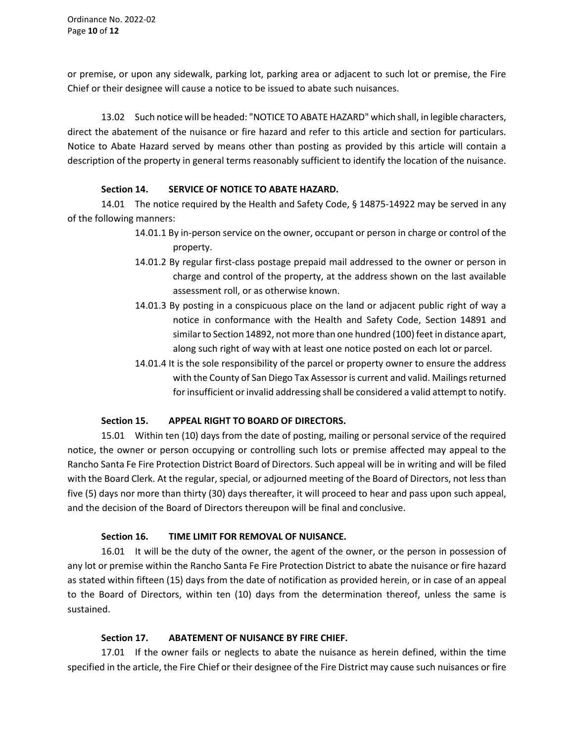or premise, or upon any sidewalk, parking lot, parking area or adjacent to such lot or premise, the Fire Chief or their designee will cause a notice to be issued to abate such nuisances.

13.02 Such notice will be headed: "NOTICE TO ABATE HAZARD" which shall, in legible characters, direct the abatement of the nuisance or fire hazard and refer to this article and section for particulars. Notice to Abate Hazard served by means other than posting as provided by this article will contain a description of the property in general terms reasonably sufficient to identify the location of the nuisance.

### **Section 14. SERVICE OF NOTICE TO ABATE HAZARD.**

14.01 The notice required by the Health and Safety Code, § 14875-14922 may be served in any of the following manners:

- 14.01.1 By in-person service on the owner, occupant or person in charge or control of the property.
- 14.01.2 By regular first-class postage prepaid mail addressed to the owner or person in charge and control of the property, at the address shown on the last available assessment roll, or as otherwise known.
- 14.01.3 By posting in a conspicuous place on the land or adjacent public right of way a notice in conformance with the Health and Safety Code, Section 14891 and similar to Section 14892, not more than one hundred (100) feet in distance apart, along such right of way with at least one notice posted on each lot or parcel.
- 14.01.4 It is the sole responsibility of the parcel or property owner to ensure the address with the County of San Diego Tax Assessor is current and valid. Mailings returned for insufficient or invalid addressing shall be considered a valid attempt to notify.

# **Section 15. APPEAL RIGHT TO BOARD OF DIRECTORS.**

15.01 Within ten (10) days from the date of posting, mailing or personal service of the required notice, the owner or person occupying or controlling such lots or premise affected may appeal to the Rancho Santa Fe Fire Protection District Board of Directors. Such appeal will be in writing and will be filed with the Board Clerk. At the regular, special, or adjourned meeting of the Board of Directors, not less than five (5) days nor more than thirty (30) days thereafter, it will proceed to hear and pass upon such appeal, and the decision of the Board of Directors thereupon will be final and conclusive.

#### **Section 16. TIME LIMIT FOR REMOVAL OF NUISANCE.**

16.01 It will be the duty of the owner, the agent of the owner, or the person in possession of any lot or premise within the Rancho Santa Fe Fire Protection District to abate the nuisance or fire hazard as stated within fifteen (15) days from the date of notification as provided herein, or in case of an appeal to the Board of Directors, within ten (10) days from the determination thereof, unless the same is sustained.

# **Section 17. ABATEMENT OF NUISANCE BY FIRE CHIEF.**

17.01 If the owner fails or neglects to abate the nuisance as herein defined, within the time specified in the article, the Fire Chief or their designee of the Fire District may cause such nuisances or fire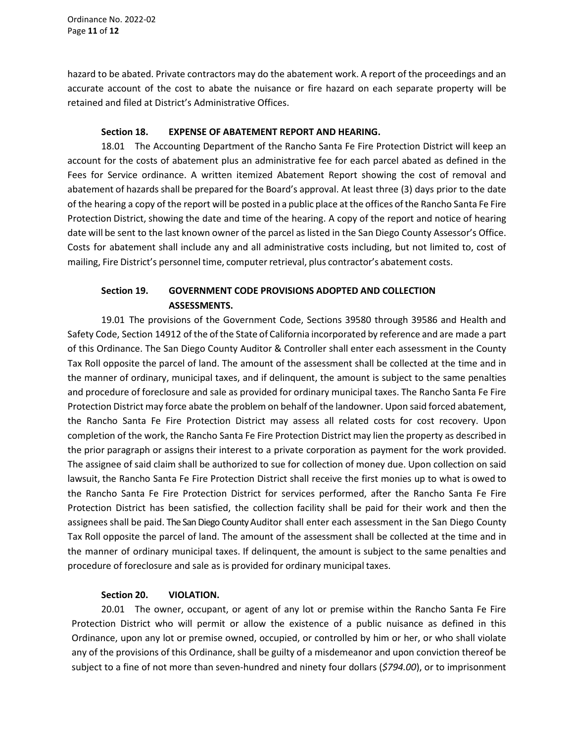Ordinance No. 2022-02 Page **11** of **12**

hazard to be abated. Private contractors may do the abatement work. A report of the proceedings and an accurate account of the cost to abate the nuisance or fire hazard on each separate property will be retained and filed at District's Administrative Offices.

#### **Section 18. EXPENSE OF ABATEMENT REPORT AND HEARING.**

18.01 The Accounting Department of the Rancho Santa Fe Fire Protection District will keep an account for the costs of abatement plus an administrative fee for each parcel abated as defined in the Fees for Service ordinance. A written itemized Abatement Report showing the cost of removal and abatement of hazards shall be prepared for the Board's approval. At least three (3) days prior to the date of the hearing a copy of the report will be posted in a public place atthe offices ofthe Rancho Santa Fe Fire Protection District, showing the date and time of the hearing. A copy of the report and notice of hearing date will be sent to the last known owner of the parcel as listed in the San Diego County Assessor's Office. Costs for abatement shall include any and all administrative costs including, but not limited to, cost of mailing, Fire District's personnel time, computer retrieval, plus contractor's abatement costs.

# **Section 19. GOVERNMENT CODE PROVISIONS ADOPTED AND COLLECTION ASSESSMENTS.**

19.01 The provisions of the Government Code, Sections 39580 through 39586 and Health and Safety Code, Section 14912 of the of the State of California incorporated by reference and are made a part of this Ordinance. The San Diego County Auditor & Controller shall enter each assessment in the County Tax Roll opposite the parcel of land. The amount of the assessment shall be collected at the time and in the manner of ordinary, municipal taxes, and if delinquent, the amount is subject to the same penalties and procedure of foreclosure and sale as provided for ordinary municipal taxes. The Rancho Santa Fe Fire Protection District may force abate the problem on behalf of the landowner. Upon said forced abatement, the Rancho Santa Fe Fire Protection District may assess all related costs for cost recovery. Upon completion of the work, the Rancho Santa Fe Fire Protection District may lien the property as described in the prior paragraph or assigns their interest to a private corporation as payment for the work provided. The assignee of said claim shall be authorized to sue for collection of money due. Upon collection on said lawsuit, the Rancho Santa Fe Fire Protection District shall receive the first monies up to what is owed to the Rancho Santa Fe Fire Protection District for services performed, after the Rancho Santa Fe Fire Protection District has been satisfied, the collection facility shall be paid for their work and then the assignees shall be paid. The San Diego County Auditor shall enter each assessment in the San Diego County Tax Roll opposite the parcel of land. The amount of the assessment shall be collected at the time and in the manner of ordinary municipal taxes. If delinquent, the amount is subject to the same penalties and procedure of foreclosure and sale as is provided for ordinary municipal taxes.

#### **Section 20. VIOLATION.**

20.01 The owner, occupant, or agent of any lot or premise within the Rancho Santa Fe Fire Protection District who will permit or allow the existence of a public nuisance as defined in this Ordinance, upon any lot or premise owned, occupied, or controlled by him or her, or who shall violate any of the provisions of this Ordinance, shall be guilty of a misdemeanor and upon conviction thereof be subject to a fine of not more than seven-hundred and ninety four dollars (*\$794.00*), or to imprisonment